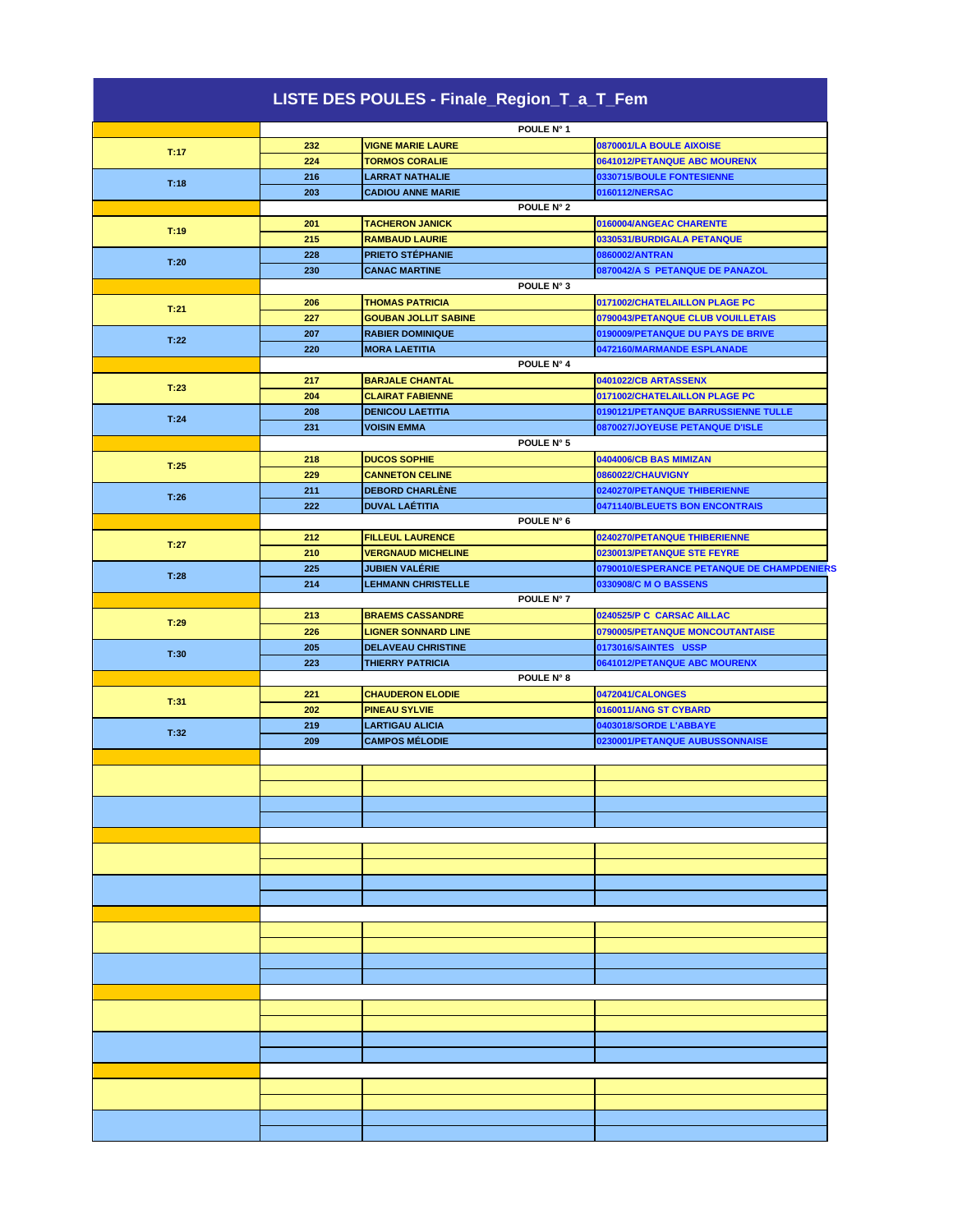| LISTE DES POULES - Finale_Region_T_a_T_Fem |     |                             |                                            |
|--------------------------------------------|-----|-----------------------------|--------------------------------------------|
|                                            |     | POULE N° 1                  |                                            |
|                                            | 232 | <b>VIGNE MARIE LAURE</b>    | 0870001/LA BOULE AIXOISE                   |
| T:17                                       | 224 | <b>TORMOS CORALIE</b>       | 0641012/PETANQUE ABC MOURENX               |
|                                            | 216 | <b>LARRAT NATHALIE</b>      | 0330715/BOULE FONTESIENNE                  |
| T:18                                       | 203 | <b>CADIOU ANNE MARIE</b>    | 0160112/NERSAC                             |
|                                            |     | POULE N° 2                  |                                            |
|                                            | 201 | <b>TACHERON JANICK</b>      | 0160004/ANGEAC CHARENTE                    |
| T:19                                       |     |                             |                                            |
|                                            | 215 | <b>RAMBAUD LAURIE</b>       | 0330531/BURDIGALA PETANQUE                 |
| T:20                                       | 228 | <b>PRIETO STÉPHANIE</b>     | 0860002/ANTRAN                             |
|                                            | 230 | <b>CANAC MARTINE</b>        | 0870042/A S PETANQUE DE PANAZOL            |
|                                            |     | POULE N° 3                  |                                            |
| T:21                                       | 206 | <b>THOMAS PATRICIA</b>      | 0171002/CHATELAILLON PLAGE PC              |
|                                            | 227 | <b>GOUBAN JOLLIT SABINE</b> | 0790043/PETANQUE CLUB VOUILLETAIS          |
| T:22                                       | 207 | <b>RABIER DOMINIQUE</b>     | 0190009/PETANQUE DU PAYS DE BRIVE          |
|                                            | 220 | <b>MORA LAETITIA</b>        | 0472160/MARMANDE ESPLANADE                 |
|                                            |     | POULE N° 4                  |                                            |
|                                            | 217 | <b>BARJALE CHANTAL</b>      | 0401022/CB ARTASSENX                       |
| T:23                                       | 204 | <b>CLAIRAT FABIENNE</b>     | 0171002/CHATELAILLON PLAGE PC              |
|                                            | 208 | <b>DENICOU LAETITIA</b>     | 0190121/PETANQUE BARRUSSIENNE TULLE        |
| T:24                                       | 231 | <b>VOISIN EMMA</b>          | 0870027/JOYEUSE PETANQUE D'ISLE            |
|                                            |     | POULE N° 5                  |                                            |
|                                            | 218 | <b>DUCOS SOPHIE</b>         | 0404006/CB BAS MIMIZAN                     |
| T:25                                       | 229 | <b>CANNETON CELINE</b>      | 0860022/CHAUVIGNY                          |
|                                            |     |                             |                                            |
| T:26                                       | 211 | <b>DEBORD CHARLÈNE</b>      | 0240270/PETANQUE THIBERIENNE               |
|                                            | 222 | DUVAL LAÉTITIA              | 0471140/BLEUETS BON ENCONTRAIS             |
|                                            |     | POULE N° 6                  |                                            |
| T:27                                       | 212 | <b>FILLEUL LAURENCE</b>     | 0240270/PETANQUE THIBERIENNE               |
|                                            | 210 | <b>VERGNAUD MICHELINE</b>   | 0230013/PETANQUE STE FEYRE                 |
| T:28                                       | 225 | JUBIEN VALÉRIE              | 0790010/ESPERANCE PETANQUE DE CHAMPDENIERS |
|                                            | 214 | <b>LEHMANN CHRISTELLE</b>   | 0330908/C M O BASSENS                      |
|                                            |     | POULE N° 7                  |                                            |
|                                            | 213 | <b>BRAEMS CASSANDRE</b>     | 0240525/P C CARSAC AILLAC                  |
| T:29                                       | 226 | <b>LIGNER SONNARD LINE</b>  | 0790005/PETANQUE MONCOUTANTAISE            |
|                                            | 205 | <b>DELAVEAU CHRISTINE</b>   | 0173016/SAINTES USSP                       |
| T:30                                       | 223 | <b>THIERRY PATRICIA</b>     | 0641012/PETANQUE ABC MOURENX               |
|                                            |     | POULE N° 8                  |                                            |
|                                            | 221 | <b>CHAUDERON ELODIE</b>     | 0472041/CALONGES                           |
| T:31                                       | 202 | <b>PINEAU SYLVIE</b>        | 0160011/ANG ST CYBARD                      |
|                                            | 219 | <b>LARTIGAU ALICIA</b>      | 0403018/SORDE L'ABBAYE                     |
| T:32                                       | 209 | <b>CAMPOS MÉLODIE</b>       | 0230001/PETANQUE AUBUSSONNAISE             |
|                                            |     |                             |                                            |
|                                            |     |                             |                                            |
|                                            |     |                             |                                            |
|                                            |     |                             |                                            |
|                                            |     |                             |                                            |
|                                            |     |                             |                                            |
|                                            |     |                             |                                            |
|                                            |     |                             |                                            |
|                                            |     |                             |                                            |
|                                            |     |                             |                                            |
|                                            |     |                             |                                            |
|                                            |     |                             |                                            |
|                                            |     |                             |                                            |
|                                            |     |                             |                                            |
|                                            |     |                             |                                            |
|                                            |     |                             |                                            |
|                                            |     |                             |                                            |
|                                            |     |                             |                                            |
|                                            |     |                             |                                            |
|                                            |     |                             |                                            |
|                                            |     |                             |                                            |
|                                            |     |                             |                                            |
|                                            |     |                             |                                            |
|                                            |     |                             |                                            |
|                                            |     |                             |                                            |
|                                            |     |                             |                                            |
|                                            |     |                             |                                            |